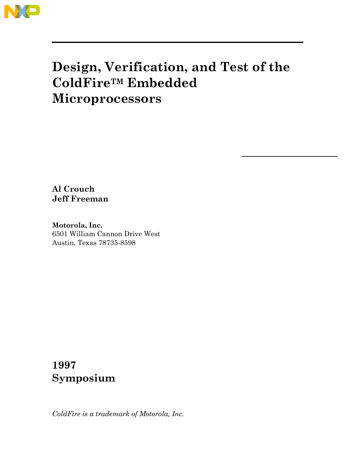

**Al Crouch Jeff Freeman**

**Motorola, Inc.** 6501 William Cannon Drive West Austin, Texas 78735-8598

# **1997 Symposium**

*ColdFire is a trademark of Motorola, Inc.*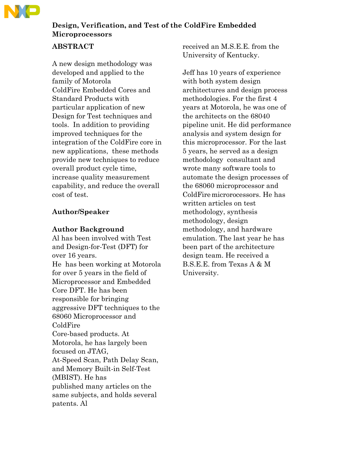

## **ABSTRACT**

A new design methodology was developed and applied to the family of Motorola ColdFire Embedded Cores and Standard Products with particular application of new Design for Test techniques and tools. In addition to providing improved techniques for the integration of the ColdFire core in new applications, these methods provide new techniques to reduce overall product cycle time, increase quality measurement capability, and reduce the overall cost of test.

## **Author/Speaker**

### **Author Background**

Al has been involved with Test and Design-for-Test (DFT) for over 16 years. He has been working at Motorola for over 5 years in the field of Microprocessor and Embedded Core DFT. He has been responsible for bringing aggressive DFT techniques to the 68060 Microprocessor and ColdFire Core-based products. At Motorola, he has largely been focused on JTAG, At-Speed Scan, Path Delay Scan, and Memory Built-in Self-Test (MBIST). He has published many articles on the same subjects, and holds several patents. Al

received an M.S.E.E. from the University of Kentucky.

Jeff has 10 years of experience with both system design architectures and design process methodologies. For the first 4 years at Motorola, he was one of the architects on the 68040 pipeline unit. He did performance analysis and system design for this microprocessor. For the last 5 years, he served as a design methodology consultant and wrote many software tools to automate the design processes of the 68060 microprocessor and ColdFiremicrorocessors. He has written articles on test methodology, synthesis methodology, design methodology, and hardware emulation. The last year he has been part of the architecture design team. He received a B.S.E.E. from Texas A & M University.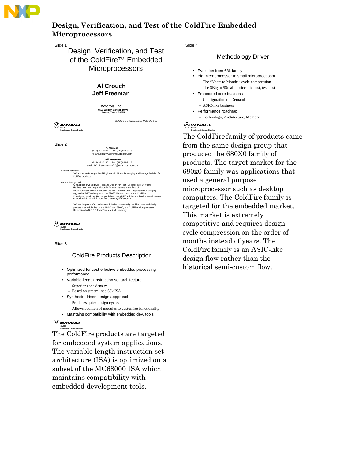

Slide 1

## Design, Verification, and Test of the ColdFire<sup>™</sup> Embedded **Microprocessors**

### **Al Crouch Jeff Freeman**

**Motorola, Inc. 6501 William Cannon Drive Austin, Texas 78735**

ColdFire is a trademark of Motorola, Inc.

 $(\widehat{M})$  MOTOROLA **CACTG Imaging and Storage Division**

**Al Crouch و Al Crouch**<br>1912 891-8581 Fax: (512)891-8315<br>A<u>l C</u>rouch-rzvv20@email.sps.mot.com و Al\_Crouch-rzvv20@email.sps.mot.com

**Jeff Freeman**<br>(512) 891-2130 Fax: (512)891-8315<br>email: Jeff\_Freeman-rwwf40@email.sps.mot.com

**Current Activities** Jeff and Al arePrincipal Staff Engineers in Motorola Imaging and Storage Division for Coldfire products.

hor Background<br>Al has been involved with Test and Design-for-Test (DFT) for over 16 years. He has been working at Motorola for over 5 years in the field of<br>Microprocessor and Embedded Core DFT. He has been responsible for bringing<br>aggressive DFT techniques to the 68060 Microprocessor and ColdFire<br>Core-based prod

Jeff has 10 years of experience with both system design architectures and design process methodologies on the 68040 and 68060, and ColdFire microprocessors. He received a B.S.E.E from Texas A & M University.

 $(\widehat{M})$  MOTOROLA

**CACTG Imaging and Storage Division**

Slide 3

### ColdFire Products Description

- Optimized for cost-effective embedded processing performance
- Variable-length instruction set architecture – Superior code density
	- Based on streamlined 68k ISA
- Synthesis-driven design appproach – Produces quick design cycles
	- Allows addition of modules to customize functionality
- Maintains compatibility with embedded dev. tools

#### $(\overline{\mathsf{M}})$  MOTOROLA **CACTG**

**Imaging and Storage Division** The ColdFire products are targeted for embedded system applications. The variable length instruction set architecture (ISA) is optimized on a subset of the MC68000 ISA which maintains compatibility with embedded development tools.

Slide 4

### Methodology Driver

- Evolution from 68k family
- Big microprocessor to small microprocessor
	- The "Years to Months" cycle compression – The \$Big to \$Small - price, die cost, test cost
- Embedded core business
	- Configuration on Demand – ASIC-like business
- Performance roadmap
	- Technology, Architecture, Memory

#### **(A)** MOTOROLA **Imaging and Storage Division**

The ColdFire family of products came from the same design group that produced the 680X0 family of products. The target market for the 680x0 family was applications that used a general purpose microprocessor such as desktop computers. The ColdFire family is targeted for the embedded market. This market is extremely competitive and requires design cycle compression on the order of months instead of years. The ColdFire family is an ASIC-like design flow rather than the historical semi-custom flow.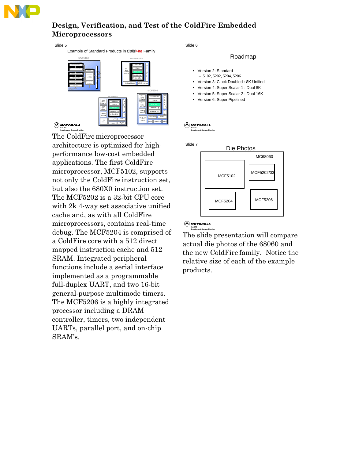

Slide 5

Example of Standard Products in Cold Fire Family



The ColdFire microprocessor architecture is optimized for highperformance low-cost embedded applications. The first ColdFire microprocessor, MCF5102, supports not only the ColdFire instruction set, but also the 680X0 instruction set. The MCF5202 is a 32-bit CPU core with 2k 4-way set associative unified cache and, as with all ColdFire microprocessors, contains real-time debug. The MCF5204 is comprised of a ColdFire core with a 512 direct mapped instruction cache and 512 SRAM. Integrated peripheral functions include a serial interface implemented as a programmable full-duplex UART, and two 16-bit general-purpose multimode timers. The MCF5206 is a highly integrated processor including a DRAM controller, timers, two independent UARTs, parallel port, and on-chip SRAM's.

Slide 6

#### Roadmap

- Version 2: Standard – 5102, 5202, 5204, 5206 • Version 3: Clock Doubled : 8K Unified • Version 4: Super Scalar 1 : Dual 8K • Version 5: Super Scalar 2 : Dual 16K
- Version 6: Super Pipelined

#### $(\overline{\mathsf{M}})$  MOTOROLA **CACTG**

**Imaging and Storage Division**



## **CACTG Imaging and Storage Division**

The slide presentation will compare actual die photos of the 68060 and the new ColdFire family. Notice the relative size of each of the example products.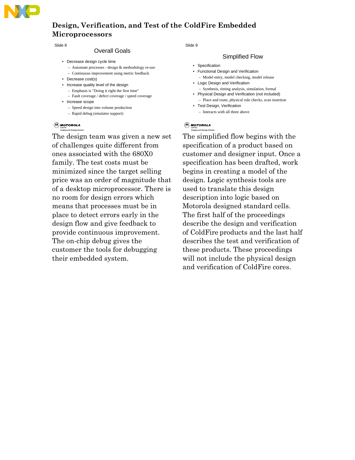

Slide 8

### Overall Goals

- Decrease design cycle time
	- Automate processes design & methodology re-use
	- Continuous improvement using metric feedback
- Decrease cost(s)
- Increase quality level of the design
	- Emphasis is "Doing it right the first time"
	- Fault coverage / defect coverage / speed coverage
- Increase scope
	- Speed design into volume production
	- Rapid debug (emulator support)

### **CA** MOTOROLA

**Imaging and Storage Division**

The design team was given a new set of challenges quite different from ones associated with the 680X0 family. The test costs must be minimized since the target selling price was an order of magnitude that of a desktop microprocessor. There is no room for design errors which means that processes must be in place to detect errors early in the design flow and give feedback to provide continuous improvement. The on-chip debug gives the customer the tools for debugging their embedded system.

Slide 9

#### Simplified Flow

- Specification
- Functional Design and Verification
- Model entry, model checking, model release • Logic Design and Verification
	- Synthesis, timing analysis, simulation, formal
- Physical Design and Verification (not included) – Place and route, physical rule checks, scan insertion
- Test Design, Verification – Interacts with all three above

### **(A)** MOTOROLA

**Imaging and Storage Division**

The simplified flow begins with the specification of a product based on customer and designer input. Once a specification has been drafted, work begins in creating a model of the design. Logic synthesis tools are used to translate this design description into logic based on Motorola designed standard cells. The first half of the proceedings describe the design and verification of ColdFire products and the last half describes the test and verification of these products. These proceedings will not include the physical design and verification of ColdFire cores.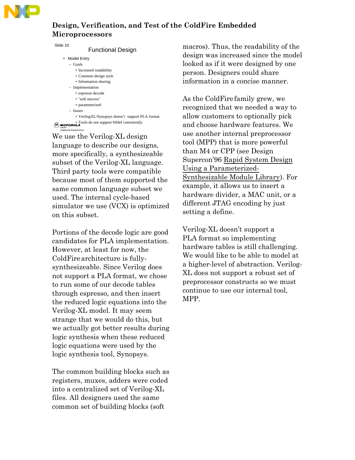

Slid

| ie 10<br><b>Functional Design</b> |  |
|-----------------------------------|--|
| <b>Model Entry</b>                |  |
| $-$ Goals                         |  |
| • Increased readability           |  |
| • Common design style             |  |
| • Information sharing             |  |
| - Implementation                  |  |
| • espresso decode                 |  |
| • "soft macros"                   |  |
| • parameterized                   |  |
|                                   |  |

- Issues
- VerilogXL/Synopsys doesn't support PLA format
- Tools do not support #ifdef consistently<br>**EACTG Imaging and Storage Division**

We use the Verilog-XL design language to describe our designs, more specifically, a synthesizeable subset of the Verilog-XL language. Third party tools were compatible because most of them supported the same common language subset we used. The internal cycle-based simulator we use (VCX) is optimized on this subset.

Portions of the decode logic are good candidates for PLA implementation. However, at least for now, the ColdFirearchitecture is fullysynthesizeable. Since Verilog does not support a PLA format, we chose to run some of our decode tables through espresso, and then insert the reduced logic equations into the Verilog-XL model. It may seem strange that we would do this, but we actually got better results during logic synthesis when these reduced logic equations were used by the logic synthesis tool, Synopsys.

The common building blocks such as registers, muxes, adders were coded into a centralized set of Verilog-XL files. All designers used the same common set of building blocks (soft

macros). Thus, the readability of the design was increased since the model looked as if it were designed by one person. Designers could share information in a concise manner.

As the ColdFire family grew, we recognized that we needed a way to allow customers to optionally pick and choose hardware features. We use another internal preprocessor tool (MPP) that is more powerful than M4 or CPP (see Design Supercon'96 Rapid System Design Using a Parameterized-Synthesizable Module Library). For example, it allows us to insert a hardware divider, a MAC unit, or a different JTAG encoding by just setting a define.

Verilog-XL doesn't support a PLA format so implementing hardware tables is still challenging. We would like to be able to model at a higher-level of abstraction. Verilog-XL does not support a robust set of preprocessor constructs so we must continue to use our internal tool, MPP.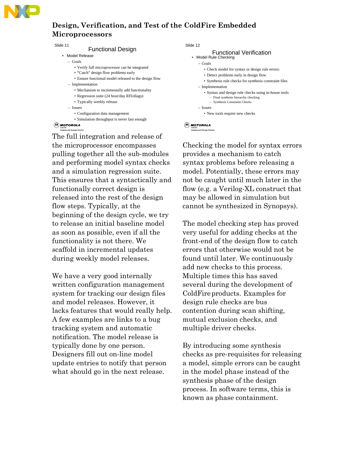

Slide 11

#### Functional Design

- Model Release
	- Goals
		- Verify full microprocessor can be integrated
		- "Catch" design flow problems early
		- Ensure functional model released to the design flow
	- Implementation
		- Mechanism to incrementally add functionality
		- Regression suite (24 hour/day RIS/diags)
		- Typically weekly release
	- Issues
		- Configuration data management
		- Simulation throughput is never fast enough

#### **CA** MOTOROLA **Imaging and Storage Division**

The full integration and release of the microprocessor encompasses pulling together all the sub-modules and performing model syntax checks and a simulation regression suite. This ensures that a syntactically and functionally correct design is released into the rest of the design flow steps. Typically, at the beginning of the design cycle, we try to release an initial baseline model as soon as possible, even if all the functionality is not there. We scaffold in incremental updates during weekly model releases.

We have a very good internally written configuration management system for tracking our design files and model releases. However, it lacks features that would really help. A few examples are links to a bug tracking system and automatic notification. The model release is typically done by one person. Designers fill out on-line model update entries to notify that person what should go in the next release.

Slide 12

#### Functional Verification • Model Rule Checking – Goals

- Check model for syntax or design rule errors:
- Detect problems early in design flow
- Synthesis rule checks for synthesis constraint files
- Implementation
	- Syntax and design rule checks using in-house tools – Final synthesis hierarchy checking
		- Synthesis Constraint Checks
- Issues
- New tools require new checks

## **CACTG Imaging and Storage Division**

Checking the model for syntax errors provides a mechanism to catch syntax problems before releasing a model. Potentially, these errors may not be caught until much later in the flow (e.g. a Verilog-XL construct that may be allowed in simulation but cannot be synthesized in Synopsys).

The model checking step has proved very useful for adding checks at the front-end of the design flow to catch errors that otherwise would not be found until later. We continuously add new checks to this process. Multiple times this has saved several during the development of ColdFireproducts. Examples for design rule checks are bus contention during scan shifting, mutual exclusion checks, and multiple driver checks.

By introducing some synthesis checks as pre-requisites for releasing a model, simple errors can be caught in the model phase instead of the synthesis phase of the design process. In software terms, this is known as phase containment.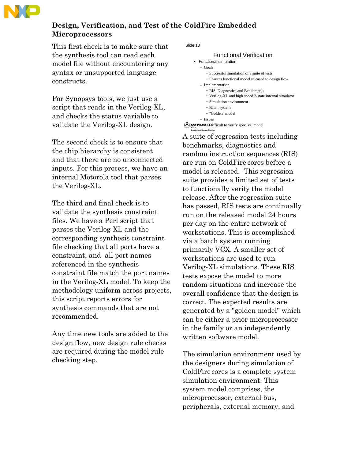

This first check is to make sure that the synthesis tool can read each model file without encountering any syntax or unsupported language constructs.

For Synopsys tools, we just use a script that reads in the Verilog-XL, and checks the status variable to validate the Verilog-XL design.

The second check is to ensure that the chip hierarchy is consistent and that there are no unconnected inputs. For this process, we have an internal Motorola tool that parses the Verilog-XL.

The third and final check is to validate the synthesis constraint files. We have a Perl script that parses the Verilog-XL and the corresponding synthesis constraint file checking that all ports have a constraint, and all port names referenced in the synthesis constraint file match the port names in the Verilog-XL model. To keep the methodology uniform across projects, this script reports errors for synthesis commands that are not recommended.

Any time new tools are added to the design flow, new design rule checks are required during the model rule checking step.

Slide 13

```
Functional Verification
• Functional simulation
   – Goals
      • Successful simulation of a suite of tests
       • Ensures functional model released to design flow
   – Implementation
      • RIS, Diagnostics and Benchmarks
      • Verilog-XL and high speed 2-state internal simulator
      • Simulation environment
       • Batch system 
       • "Golden" model
  – Issues
```
**MOTOROL** Difficult to verify spec. vs. model **Imaging and Storage Division**

A suite of regression tests including benchmarks, diagnostics and random instruction sequences (RIS) are run on ColdFire cores before a model is released. This regression suite provides a limited set of tests to functionally verify the model release. After the regression suite has passed, RIS tests are continually run on the released model 24 hours per day on the entire network of workstations. This is accomplished via a batch system running primarily VCX. A smaller set of workstations are used to run Verilog-XL simulations. These RIS tests expose the model to more random situations and increase the overall confidence that the design is correct. The expected results are generated by a "golden model" which can be either a prior microprocessor in the family or an independently written software model.

The simulation environment used by the designers during simulation of ColdFire cores is a complete system simulation environment. This system model comprises, the microprocessor, external bus, peripherals, external memory, and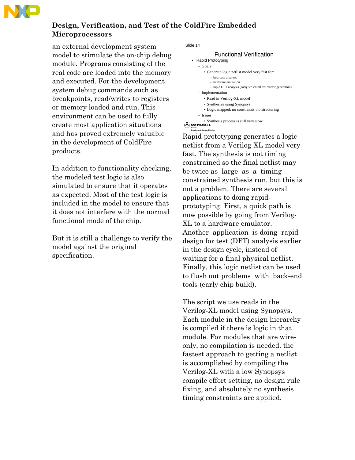

an external development system model to stimulate the on-chip debug module. Programs consisting of the real code are loaded into the memory and executed. For the development system debug commands such as breakpoints, read/writes to registers or memory loaded and run. This environment can be used to fully create most application situations and has proved extremely valuable in the development of ColdFire products.

In addition to functionality checking, the modeled test logic is also simulated to ensure that it operates as expected. Most of the test logic is included in the model to ensure that it does not interfere with the normal functional mode of the chip.

But it is still a challenge to verify the model against the original specification.

Slide 14

**Imaging and Storage Division**

```
A MOTOROLA
                 Functional Verification
    • Rapid Prototyping
       – Goals
           • Generate logic netlist model very fast for:
              – best case area est.
              – hardware emulation
              – rapid DFT analysis (early structural test vector generation)
       – Implementation
           • Read in Verilog-XL model
           • Synthesize using Synopsys
           • Logic mapped: no constraints, no structuring
       – Issues
           • Synthesis process is still very slow
```
Rapid-prototyping generates a logic netlist from a Verilog-XL model very fast. The synthesis is not timing constrained so the final netlist may be twice as large as a timing constrained synthesis run, but this is not a problem. There are several applications to doing rapidprototyping. First, a quick path is now possible by going from Verilog-XL to a hardware emulator. Another application is doing rapid design for test (DFT) analysis earlier in the design cycle, instead of waiting for a final physical netlist. Finally, this logic netlist can be used to flush out problems with back-end tools (early chip build).

The script we use reads in the Verilog-XL model using Synopsys. Each module in the design hierarchy is compiled if there is logic in that module. For modules that are wireonly, no compilation is needed. the fastest approach to getting a netlist is accomplished by compiling the Verilog-XL with a low Synopsys compile effort setting, no design rule fixing, and absolutely no synthesis timing constraints are applied.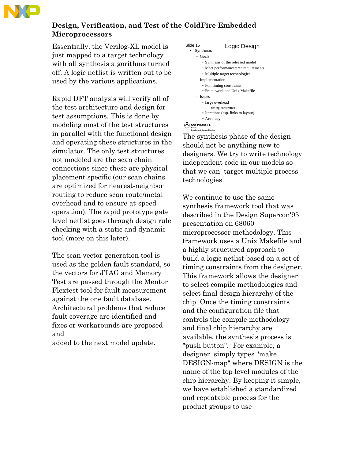

Essentially, the Verilog-XL model is just mapped to a target technology with all synthesis algorithms turned off. A logic netlist is written out to be used by the various applications.

Rapid DFT analysis will verify all of the test architecture and design for test assumptions. This is done by modeling most of the test structures in parallel with the functional design and operating these structures in the simulator. The only test structures not modeled are the scan chain connections since these are physical placement specific (our scan chains are optimized for nearest-neighbor routing to reduce scan route/metal overhead and to ensure at-speed operation). The rapid prototype gate level netlist goes through design rule checking with a static and dynamic tool (more on this later).

The scan vector generation tool is used as the golden fault standard, so the vectors for JTAG and Memory Test are passed through the Mentor Flextest tool for fault measurement against the one fault database. Architectural problems that reduce fault coverage are identified and fixes or workarounds are proposed and

added to the next model update.



#### **CA** MOTOROLA **Imaging and Storage Division**

The synthesis phase of the design should not be anything new to designers. We try to write technology independent code in our models so that we can target multiple process technologies.

We continue to use the same synthesis framework tool that was described in the Design Supercon'95 presentation on 68060 microprocessor methodology. This framework uses a Unix Makefile and a highly structured approach to build a logic netlist based on a set of timing constraints from the designer. This framework allows the designer to select compile methodologies and select final design hierarchy of the chip. Once the timing constraints and the configuration file that controls the compile methodology and final chip hierarchy are available, the synthesis process is "push button". For example, a designer simply types "make DESIGN-map" where DESIGN is the name of the top level modules of the chip hierarchy. By keeping it simple, we have established a standardized and repeatable process for the product groups to use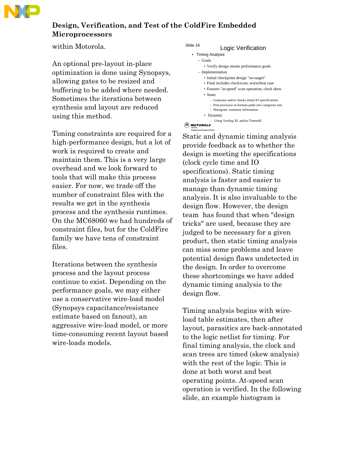

within Motorola.

An optional pre-layout in-place optimization is done using Synopsys, allowing gates to be resized and buffering to be added where needed. Sometimes the iterations between synthesis and layout are reduced using this method.

Timing constraints are required for a high-performance design, but a lot of work is required to create and maintain them. This is a very large overhead and we look forward to tools that will make this process easier. For now, we trade off the number of constraint files with the results we get in the synthesis process and the synthesis runtimes. On the MC68060 we had hundreds of constraint files, but for the ColdFire family we have tens of constraint files.

Iterations between the synthesis process and the layout process continue to exist. Depending on the performance goals, we may either use a conservative wire-load model (Synopsys capacitance/resistance estimate based on fanout), an aggressive wire-load model, or more time-consuming recent layout based wire-loads models.

```
Slide 16 Logic Verification
  • Timing Analysis
```

```
– Goals
```
- 
- Verify design means performance goals – Implementation
	- Initial checkpoint design "on-target"
	- Final includes clock/scan; worst/best case
	- Ensures "at-speed" scan operation; clock skew
	- Static
		- Generates and/or checks initial IO specifications
		- Post-processor re-formats paths into categories and
		- Histogram summary information
	- Dynamic

```
– Using Verilog-XL and/or Timemill
```
**CA** MOTOROLA **Imaging and Storage Division**

Static and dynamic timing analysis provide feedback as to whether the design is meeting the specifications (clock cycle time and IO specifications). Static timing analysis is faster and easier to manage than dynamic timing analysis. It is also invaluable to the design flow. However, the design team has found that when "design tricks" are used, because they are judged to be necessary for a given product, then static timing analysis can miss some problems and leave potential design flaws undetected in the design. In order to overcome these shortcomings we have added dynamic timing analysis to the design flow.

Timing analysis begins with wireload table estimates, then after layout, parasitics are back-annotated to the logic netlist for timing. For final timing analysis, the clock and scan trees are timed (skew analysis) with the rest of the logic. This is done at both worst and best operating points. At-speed scan operation is verified. In the following slide, an example histogram is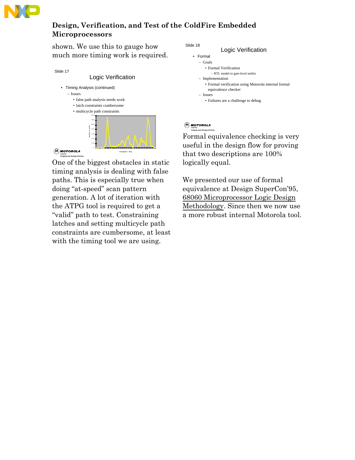

shown. We use this to gauge how much more timing work is required.



One of the biggest obstacles in static timing analysis is dealing with false paths. This is especially true when doing "at-speed" scan pattern generation. A lot of iteration with the ATPG tool is required to get a "valid" path to test. Constraining latches and setting multicycle path constraints are cumbersome, at least with the timing tool we are using.

Slide 18



#### **CA** MOTOROLA **Imaging and Storage Division**

Formal equivalence checking is very useful in the design flow for proving that two descriptions are 100% logically equal.

We presented our use of formal equivalence at Design SuperCon'95, 68060 Microprocessor Logic Design Methodology. Since then we now use a more robust internal Motorola tool.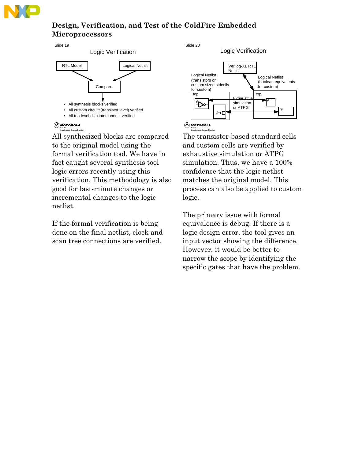

Slide 19



**CA** MOTOROLA **Imaging and Storage Division**

All synthesized blocks are compared to the original model using the formal verification tool. We have in fact caught several synthesis tool logic errors recently using this verification. This methodology is also good for last-minute changes or incremental changes to the logic netlist.

If the formal verification is being done on the final netlist, clock and scan tree connections are verified.

Slide 20

**Imaging and Storage Division**



The transistor-based standard cells and custom cells are verified by exhaustive simulation or ATPG simulation. Thus, we have a 100% confidence that the logic netlist matches the original model. This process can also be applied to custom logic.

The primary issue with formal equivalence is debug. If there is a logic design error, the tool gives an input vector showing the difference. However, it would be better to narrow the scope by identifying the specific gates that have the problem.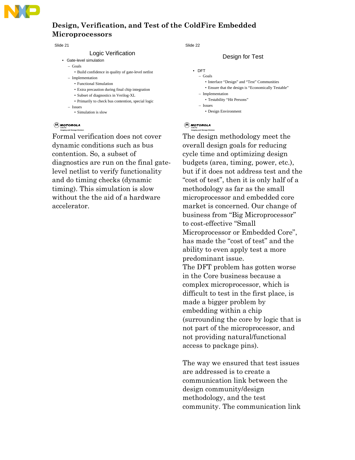

Slide 21

#### Logic Verification

- Gate-level simulation
	- Goals
		- Build confidence in quality of gate-level netlist
	- Implementation
		- Functional Simulation
		- Extra precaution during final chip integration
		- Subset of diagnostics in Verilog-XL
		- Primarily to check bus contention, special logic
	- Issues • Simulation is slow

#### **CA** MOTOROLA

**Imaging and Storage Division**

Formal verification does not cover dynamic conditions such as bus contention. So, a subset of diagnostics are run on the final gatelevel netlist to verify functionality and do timing checks (dynamic timing). This simulation is slow without the the aid of a hardware accelerator.

Slide 22

### Design for Test

```
• DFT
   – Goals
      • Interface "Design" and "Test" Communities
      • Ensure that the design is "Economically Testable"
   – Implementation
      • Testability "Hit Persons"
   – Issues
      • Design Environment
```
#### **CA** MOTOROLA **Imaging and Storage Division**

The design methodology meet the overall design goals for reducing cycle time and optimizing design budgets (area, timing, power, etc.), but if it does not address test and the "cost of test", then it is only half of a methodology as far as the small microprocessor and embedded core market is concerned. Our change of business from "Big Microprocessor" to cost-effective "Small Microprocessor or Embedded Core", has made the "cost of test" and the ability to even apply test a more predominant issue. The DFT problem has gotten worse in the Core business because a complex microprocessor, which is difficult to test in the first place, is made a bigger problem by embedding within a chip (surrounding the core by logic that is not part of the microprocessor, and not providing natural/functional access to package pins).

The way we ensured that test issues are addressed is to create a communication link between the design community/design methodology, and the test community. The communication link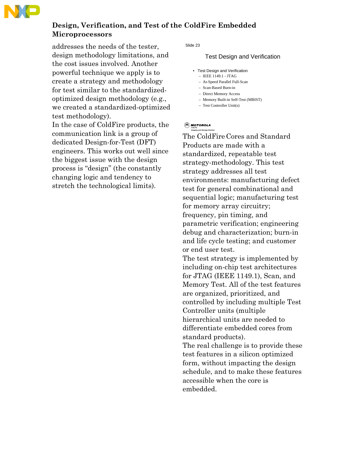

addresses the needs of the tester, design methodology limitations, and the cost issues involved. Another powerful technique we apply is to create a strategy and methodology for test similar to the standardizedoptimized design methodology (e.g., we created a standardized-optimized test methodology).

In the case of ColdFire products, the communication link is a group of dedicated Design-for-Test (DFT) engineers. This works out well since the biggest issue with the design process is "design" (the constantly changing logic and tendency to stretch the technological limits).

Slide 23

### Test Design and Verification

- Test Design and Verification
	- IEEE 1149.1 JTAG
	- At-Speed Parallel Full-Scan
	- Scan-Based Burn-in – Direct Memory Access
	- Memory Built-in Self-Test (MBIST)
	- Test Controller Unit(s)

#### **CA** MOTOROLA **Imaging and Storage Division**

The ColdFire Cores and Standard Products are made with a standardized, repeatable test strategy-methodology. This test strategy addresses all test environments: manufacturing defect test for general combinational and sequential logic; manufacturing test for memory array circuitry; frequency, pin timing, and parametric verification; engineering debug and characterization; burn-in and life cycle testing; and customer or end user test.

The test strategy is implemented by including on-chip test architectures for JTAG (IEEE 1149.1), Scan, and Memory Test. All of the test features are organized, prioritized, and controlled by including multiple Test Controller units (multiple hierarchical units are needed to differentiate embedded cores from standard products).

The real challenge is to provide these test features in a silicon optimized form, without impacting the design schedule, and to make these features accessible when the core is embedded.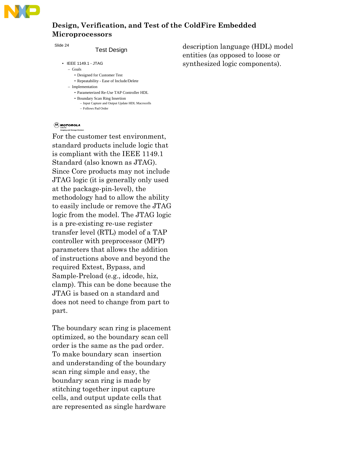

Slide 24

#### Test Design

- IEEE 1149.1 JTAG
	- Goals
		- Designed for Customer Test • Repeatability - Ease of Include/Delete
		-
	- Implementation
		- Parameterized Re-Use TAP Controller HDL
		- Boundary Scan Ring Insertion – Input Capture and Output Update HDL Macrocells – Follows Pad Order

## **CACTG Imaging and Storage Division**

For the customer test environment, standard products include logic that is compliant with the IEEE 1149.1 Standard (also known as JTAG). Since Core products may not include JTAG logic (it is generally only used at the package-pin-level), the methodology had to allow the ability to easily include or remove the JTAG logic from the model. The JTAG logic is a pre-existing re-use register transfer level (RTL) model of a TAP controller with preprocessor (MPP) parameters that allows the addition of instructions above and beyond the required Extest, Bypass, and Sample-Preload (e.g., idcode, hiz, clamp). This can be done because the JTAG is based on a standard and does not need to change from part to part.

The boundary scan ring is placement optimized, so the boundary scan cell order is the same as the pad order. To make boundary scan insertion and understanding of the boundary scan ring simple and easy, the boundary scan ring is made by stitching together input capture cells, and output update cells that are represented as single hardware

description language (HDL) model entities (as opposed to loose or synthesized logic components).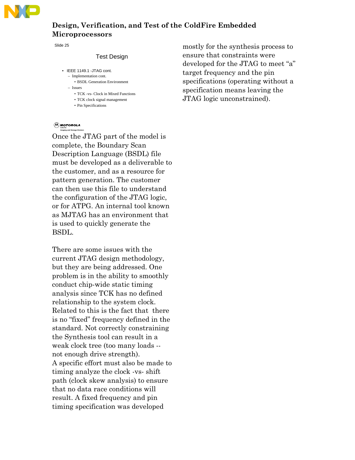

Slide 25

#### Test Design

- IEEE 1149.1 -JTAG cont. – Implementation cont. • BSDL Generation Environment
	- Issues
		- TCK -vs- Clock in Mixed Functions
		- TCK clock signal management
		- Pin Specifications

### **CA** MOTOROLA

**Imaging and Storage Division**

Once the JTAG part of the model is complete, the Boundary Scan Description Language (BSDL) file must be developed as a deliverable to the customer, and as a resource for pattern generation. The customer can then use this file to understand the configuration of the JTAG logic, or for ATPG. An internal tool known as MJTAG has an environment that is used to quickly generate the BSDL.

There are some issues with the current JTAG design methodology, but they are being addressed. One problem is in the ability to smoothly conduct chip-wide static timing analysis since TCK has no defined relationship to the system clock. Related to this is the fact that there is no "fixed" frequency defined in the standard. Not correctly constraining the Synthesis tool can result in a weak clock tree (too many loads - not enough drive strength). A specific effort must also be made to timing analyze the clock -vs- shift path (clock skew analysis) to ensure that no data race conditions will result. A fixed frequency and pin timing specification was developed

mostly for the synthesis process to ensure that constraints were developed for the JTAG to meet "a" target frequency and the pin specifications (operating without a specification means leaving the JTAG logic unconstrained).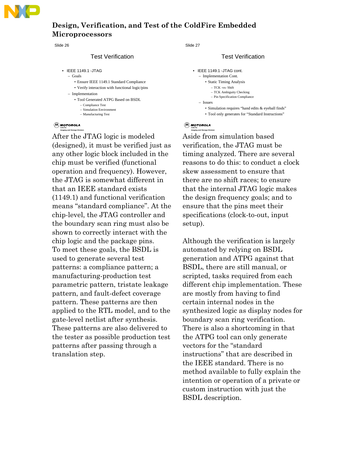

#### Slide 26

#### Test Verification

- IEEE 1149.1 -JTAG
	- Goals
		- Ensure IEEE 1149.1 Standard Compliance
		- Verify interaction with functional logic/pins
	- Implementation
		- Tool Generated ATPG Based on BSDL
			- Compliance Test – Simulation Environment
			- Manufacturing Test

### **CA** MOTOROLA

**Imaging and Storage Division**

After the JTAG logic is modeled (designed), it must be verified just as any other logic block included in the chip must be verified (functional operation and frequency). However, the JTAG is somewhat different in that an IEEE standard exists (1149.1) and functional verification means "standard compliance". At the chip-level, the JTAG controller and the boundary scan ring must also be shown to correctly interact with the chip logic and the package pins. To meet these goals, the BSDL is used to generate several test patterns: a compliance pattern; a manufacturing-production test parametric pattern, tristate leakage pattern, and fault-defect coverage pattern. These patterns are then applied to the RTL model, and to the gate-level netlist after synthesis. These patterns are also delivered to the tester as possible production test patterns after passing through a translation step.

Slide 27

#### Test Verification

```
• IEEE 1149.1 -JTAG cont.
   – Implementation Cont.
       • Static Timing Analysis
          – TCK -vs- Shift
           – TCK Ambiguity Checking
          – Pin Specification Compliance
   – Issues
       • Simulation requires "hand edits & eyeball finds"
       • Tool only generates for "Standard Instructions"
```
### **CA** MOTOROLA

**Imaging and Storage Division**

Aside from simulation based verification, the JTAG must be timing analyzed. There are several reasons to do this: to conduct a clock skew assessment to ensure that there are no shift races; to ensure that the internal JTAG logic makes the design frequency goals; and to ensure that the pins meet their specifications (clock-to-out, input setup).

Although the verification is largely automated by relying on BSDL generation and ATPG against that BSDL, there are still manual, or scripted, tasks required from each different chip implementation. These are mostly from having to find certain internal nodes in the synthesized logic as display nodes for boundary scan ring verification. There is also a shortcoming in that the ATPG tool can only generate vectors for the "standard instructions" that are described in the IEEE standard. There is no method available to fully explain the intention or operation of a private or custom instruction with just the BSDL description.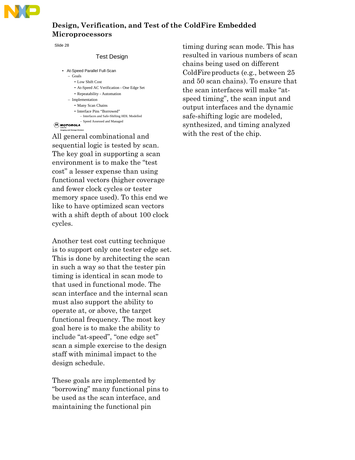

Slide 28

### Test Design

- At-Speed Parallel Full-Scan
	- Goals
		- Low Shift Cost
		- At-Speed AC Verification One Edge Set
		- Repeatability Automation
	- Implementation
		- Many Scan Chains
		- Interface Pins "Borrowed"
			- Interfaces and Safe-Shifting HDL Modelled – Speed Assessed and Managed
- **CA** MOTOROLA **Imaging and Storage Division**

All general combinational and sequential logic is tested by scan. The key goal in supporting a scan environment is to make the "test cost" a lesser expense than using functional vectors (higher coverage and fewer clock cycles or tester memory space used). To this end we like to have optimized scan vectors with a shift depth of about 100 clock cycles.

Another test cost cutting technique is to support only one tester edge set. This is done by architecting the scan in such a way so that the tester pin timing is identical in scan mode to that used in functional mode. The scan interface and the internal scan must also support the ability to operate at, or above, the target functional frequency. The most key goal here is to make the ability to include "at-speed", "one edge set" scan a simple exercise to the design staff with minimal impact to the design schedule.

These goals are implemented by "borrowing" many functional pins to be used as the scan interface, and maintaining the functional pin

timing during scan mode. This has resulted in various numbers of scan chains being used on different ColdFire products (e.g., between 25 and 50 scan chains). To ensure that the scan interfaces will make "atspeed timing", the scan input and output interfaces and the dynamic safe-shifting logic are modeled, synthesized, and timing analyzed with the rest of the chip.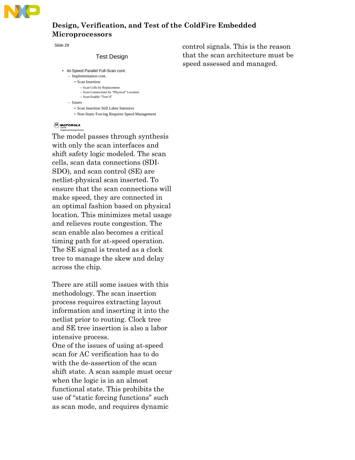

Slide 29

#### Test Design

- At-Speed Parallel Full-Scan cont.
	- Implementation cont. • Scan Insertion
		- Scan Cells by Replacement
		- Scan Connections by "Physical" Location
		- Scan Enable "Tree'd"
	- Issues
		- Scan Insertion Still Labor Intensive
		- Non-Static Forcing Requires Speed Management

#### **CA** MOTOROLA **Imaging and Storage Division**

The model passes through synthesis with only the scan interfaces and shift safety logic modeled. The scan cells, scan data connections (SDI-SDO), and scan control (SE) are netlist-physical scan inserted. To ensure that the scan connections will make speed, they are connected in an optimal fashion based on physical location. This minimizes metal usage and relieves route congestion. The scan enable also becomes a critical timing path for at-speed operation. The SE signal is treated as a clock tree to manage the skew and delay across the chip.

There are still some issues with this methodology. The scan insertion process requires extracting layout information and inserting it into the netlist prior to routing. Clock tree and SE tree insertion is also a labor intensive process.

One of the issues of using at-speed scan for AC verification has to do with the de-assertion of the scan shift state. A scan sample must occur when the logic is in an almost functional state. This prohibits the use of "static forcing functions" such as scan mode, and requires dynamic

control signals. This is the reason that the scan architecture must be speed assessed and managed.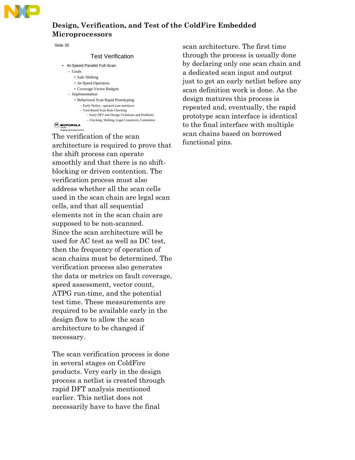

Slide 30

#### Test Verification

- At-Speed Parallel Full-Scan
	- Goals
		- Safe Shifting
		- At-Speed Operation
		- Coverage-Vector Budgets
	- Implementation
		- Behavioral Scan Rapid Prototyping
			- Early Netlist optional scan interfaces – Tool-Based Scan Rule Checking
				- Early DFT and Design Violations and Problems
				- Clocking, Shifting, Legal Constructs, Contention

### **CA** MOTOROLA

**Imaging and Storage Division**

The verification of the scan architecture is required to prove that the shift process can operate smoothly and that there is no shiftblocking or driven contention. The verification process must also address whether all the scan cells used in the scan chain are legal scan cells, and that all sequential elements not in the scan chain are supposed to be non-scanned. Since the scan architecture will be used for AC test as well as DC test, then the frequency of operation of scan chains must be determined. The verification process also generates the data or metrics on fault coverage, speed assessment, vector count, ATPG run-time, and the potential test time. These measurements are required to be available early in the design flow to allow the scan architecture to be changed if necessary.

The scan verification process is done in several stages on ColdFire products. Very early in the design process a netlist is created through rapid DFT analysis mentioned earlier. This netlist does not necessarily have to have the final

scan architecture. The first time through the process is usually done by declaring only one scan chain and a dedicated scan input and output just to get an early netlist before any scan definition work is done. As the design matures this process is repeated and, eventually, the rapid prototype scan interface is identical to the final interface with multiple scan chains based on borrowed functional pins.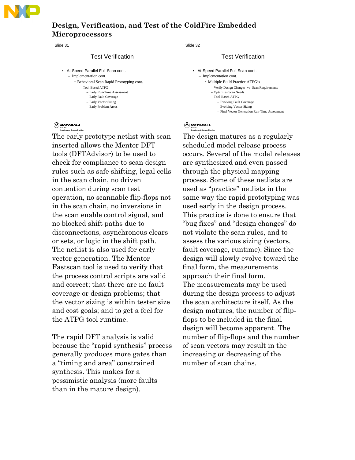

Slide 31

#### Test Verification

- At-Speed Parallel Full-Scan cont.
	- Implementation cont.
	- Behavioral Scan Rapid Prototyping cont.
		- Tool-Based ATPG – Early Run-Time Assessment
		- Early Fault Coverage
		- Early Vector Sizing
		- Early Problem Areas
- **CA** MOTOROLA

**Imaging and Storage Division**

The early prototype netlist with scan inserted allows the Mentor DFT tools (DFTAdvisor) to be used to check for compliance to scan design rules such as safe shifting, legal cells in the scan chain, no driven contention during scan test operation, no scannable flip-flops not in the scan chain, no inversions in the scan enable control signal, and no blocked shift paths due to disconnections, asynchronous clears or sets, or logic in the shift path. The netlist is also used for early vector generation. The Mentor Fastscan tool is used to verify that the process control scripts are valid and correct; that there are no fault coverage or design problems; that the vector sizing is within tester size and cost goals; and to get a feel for the ATPG tool runtime.

The rapid DFT analysis is valid because the "rapid synthesis" process generally produces more gates than a "timing and area" constrained synthesis. This makes for a pessimistic analysis (more faults than in the mature design).

Slide 32

#### Test Verification

- At-Speed Parallel Full-Scan cont.
	- Implementation cont.
		- Multiple Build Practice ATPG's
			- Verify Design Changes -vs- Scan Requirements
			- Optimizes Scan Needs
			- Tool-Based ATPG
				- Evolving Fault Coverage
				- Evolving Vector Sizing
				- Final Vector Generation Run-Time Assessment

#### **CA** MOTOROLA **Imaging and Storage Division**

The design matures as a regularly scheduled model release process occurs. Several of the model releases are synthesized and even passed through the physical mapping process. Some of these netlists are used as "practice" netlists in the same way the rapid prototyping was used early in the design process. This practice is done to ensure that "bug fixes" and "design changes" do not violate the scan rules, and to assess the various sizing (vectors, fault coverage, runtime). Since the design will slowly evolve toward the final form, the measurements approach their final form. The measurements may be used during the design process to adjust the scan architecture itself. As the design matures, the number of flipflops to be included in the final design will become apparent. The number of flip-flops and the number of scan vectors may result in the increasing or decreasing of the number of scan chains.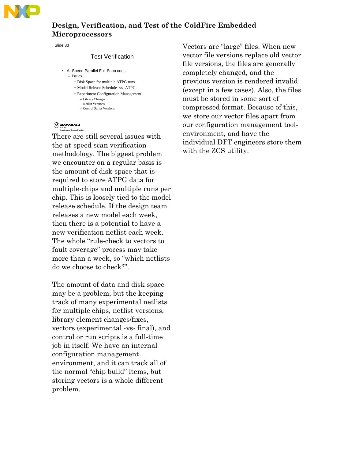

Slide 33

### Test Verification

- At-Speed Parallel Full-Scan cont.
	- Issues
		- Disk Space for multiple ATPG runs
		- Model Release Schedule -vs- ATPG
		- Experiment Configuration Management – Library Changes
			- Netlist Versions
			- Control Script Versions

### **CA** MOTOROLA

**Imaging and Storage Division**

There are still several issues with the at-speed scan verification methodology. The biggest problem we encounter on a regular basis is the amount of disk space that is required to store ATPG data for multiple-chips and multiple runs per chip. This is loosely tied to the model release schedule. If the design team releases a new model each week, then there is a potential to have a new verification netlist each week. The whole "rule-check to vectors to fault coverage" process may take more than a week, so "which netlists do we choose to check?".

The amount of data and disk space may be a problem, but the keeping track of many experimental netlists for multiple chips, netlist versions, library element changes/fixes, vectors (experimental -vs- final), and control or run scripts is a full-time job in itself. We have an internal configuration management environment, and it can track all of the normal "chip build" items, but storing vectors is a whole different problem.

Vectors are "large" files. When new vector file versions replace old vector file versions, the files are generally completely changed, and the previous version is rendered invalid (except in a few cases). Also, the files must be stored in some sort of compressed format. Because of this, we store our vector files apart from our configuration management toolenvironment, and have the individual DFT engineers store them with the ZCS utility.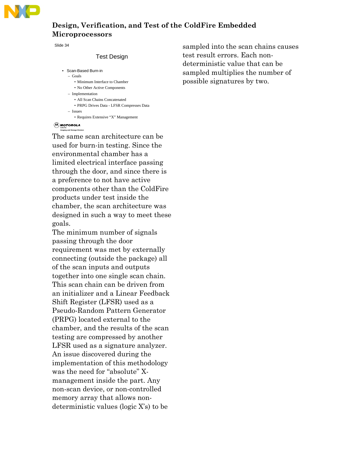

Slide 34

#### Test Design

• Scan-Based Burn-in – Goals • Minimum Interface to Chamber • No Other Active Components – Implementation • All Scan Chains Concatenated • PRPG Drives Data - LFSR Compresses Data – Issues • Requires Extensive "X" Management

### **CA** MOTOROLA

**Imaging and Storage Division**

The same scan architecture can be used for burn-in testing. Since the environmental chamber has a limited electrical interface passing through the door, and since there is a preference to not have active components other than the ColdFire products under test inside the chamber, the scan architecture was designed in such a way to meet these goals.

The minimum number of signals passing through the door requirement was met by externally connecting (outside the package) all of the scan inputs and outputs together into one single scan chain. This scan chain can be driven from an initializer and a Linear Feedback Shift Register (LFSR) used as a Pseudo-Random Pattern Generator (PRPG) located external to the chamber, and the results of the scan testing are compressed by another LFSR used as a signature analyzer. An issue discovered during the implementation of this methodology was the need for "absolute" Xmanagement inside the part. Any non-scan device, or non-controlled memory array that allows nondeterministic values (logic X's) to be

sampled into the scan chains causes test result errors. Each nondeterministic value that can be sampled multiplies the number of possible signatures by two.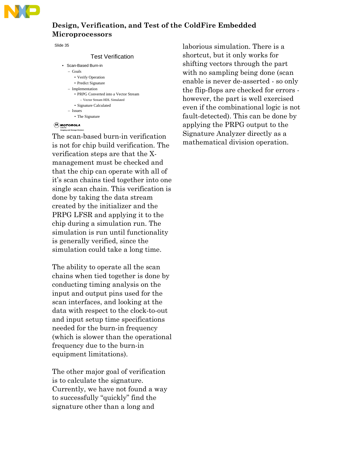

Slide 35

#### Test Verification

- Scan-Based Burn-in
	- Goals
		- Verify Operation • Predict Signature
	- Implementation
	- PRPG Converted into a Vector Stream – Vector Stream HDL Simulated
	- Signature Calculated
	- Issues
		- The Signature

### **CA** MOTOROLA

**Imaging and Storage Division**

The scan-based burn-in verification is not for chip build verification. The verification steps are that the Xmanagement must be checked and that the chip can operate with all of it's scan chains tied together into one single scan chain. This verification is done by taking the data stream created by the initializer and the PRPG LFSR and applying it to the chip during a simulation run. The simulation is run until functionality is generally verified, since the simulation could take a long time.

The ability to operate all the scan chains when tied together is done by conducting timing analysis on the input and output pins used for the scan interfaces, and looking at the data with respect to the clock-to-out and input setup time specifications needed for the burn-in frequency (which is slower than the operational frequency due to the burn-in equipment limitations).

The other major goal of verification is to calculate the signature. Currently, we have not found a way to successfully "quickly" find the signature other than a long and

laborious simulation. There is a shortcut, but it only works for shifting vectors through the part with no sampling being done (scan) enable is never de-asserted - so only the flip-flops are checked for errors however, the part is well exercised even if the combinational logic is not fault-detected). This can be done by applying the PRPG output to the Signature Analyzer directly as a mathematical division operation.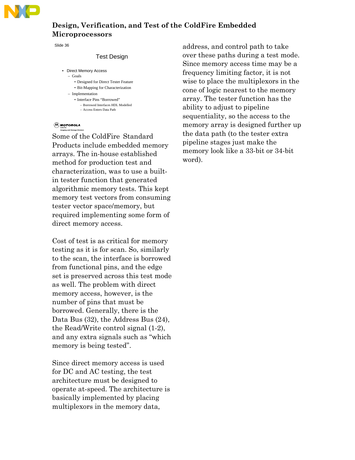

Slide 36

#### Test Design

- Direct Memory Access – Goals
	- Designed for Direct Tester Feature
	- Bit-Mapping for Characterization
	- Implementation
		- Interface Pins "Borrowed" – Borrowed Interfaces HDL Modelled
			- Access Enters Data Path

## **CACTG Imaging and Storage Division**

Some of the ColdFire Standard Products include embedded memory arrays. The in-house established method for production test and characterization, was to use a builtin tester function that generated algorithmic memory tests. This kept memory test vectors from consuming tester vector space/memory, but required implementing some form of direct memory access.

Cost of test is as critical for memory testing as it is for scan. So, similarly to the scan, the interface is borrowed from functional pins, and the edge set is preserved across this test mode as well. The problem with direct memory access, however, is the number of pins that must be borrowed. Generally, there is the Data Bus (32), the Address Bus (24), the Read/Write control signal (1-2), and any extra signals such as "which memory is being tested".

Since direct memory access is used for DC and AC testing, the test architecture must be designed to operate at-speed. The architecture is basically implemented by placing multiplexors in the memory data,

address, and control path to take over these paths during a test mode. Since memory access time may be a frequency limiting factor, it is not wise to place the multiplexors in the cone of logic nearest to the memory array. The tester function has the ability to adjust to pipeline sequentiality, so the access to the memory array is designed further up the data path (to the tester extra pipeline stages just make the memory look like a 33-bit or 34-bit word).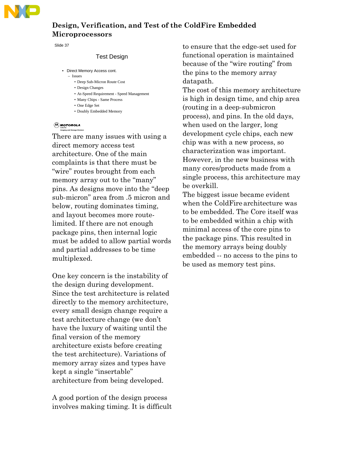

Slide 37

### Test Design

- Direct Memory Access cont.
	- Issues
		- Deep Sub-Micron Route Cost
		- Design Changes
		- At-Speed Requirement Speed Management • Many Chips - Same Process
		- One Edge Set
		- Doubly Embedded Memory

## **CACTG Imaging and Storage Division**

There are many issues with using a direct memory access test architecture. One of the main complaints is that there must be "wire" routes brought from each memory array out to the "many" pins. As designs move into the "deep sub-micron" area from .5 micron and below, routing dominates timing, and layout becomes more routelimited. If there are not enough package pins, then internal logic must be added to allow partial words and partial addresses to be time multiplexed.

One key concern is the instability of the design during development. Since the test architecture is related directly to the memory architecture, every small design change require a test architecture change (we don't have the luxury of waiting until the final version of the memory architecture exists before creating the test architecture). Variations of memory array sizes and types have kept a single "insertable" architecture from being developed.

A good portion of the design process involves making timing. It is difficult to ensure that the edge-set used for functional operation is maintained because of the "wire routing" from the pins to the memory array datapath.

The cost of this memory architecture is high in design time, and chip area (routing in a deep-submicron process), and pins. In the old days, when used on the larger, long development cycle chips, each new chip was with a new process, so characterization was important. However, in the new business with many cores/products made from a single process, this architecture may be overkill.

The biggest issue became evident when the ColdFire architecture was to be embedded. The Core itself was to be embedded within a chip with minimal access of the core pins to the package pins. This resulted in the memory arrays being doubly embedded -- no access to the pins to be used as memory test pins.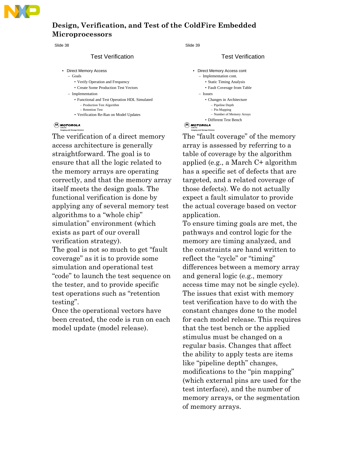

#### Slide 38

#### Test Verification

- Direct Memory Access
	- Goals
		- Verify Operation and Frequency
		- Create Some Production Test Vectors
	- Implementation
		- Functional and Test Operation HDL Simulated – Production Test Algorithm – Retention Test
		- Verification Re-Ran on Model Updates

## **CACTG Imaging and Storage Division**

The verification of a direct memory access architecture is generally straightforward. The goal is to ensure that all the logic related to the memory arrays are operating correctly, and that the memory array itself meets the design goals. The functional verification is done by applying any of several memory test algorithms to a "whole chip" simulation" environment (which exists as part of our overall verification strategy).

The goal is not so much to get "fault coverage" as it is to provide some simulation and operational test "code" to launch the test sequence on the tester, and to provide specific test operations such as "retention testing".

Once the operational vectors have been created, the code is run on each model update (model release).

Slide 39

**Imaging and Storage Division**

### Test Verification

```
CA MOTOROLA
     • Direct Memory Access cont
        – Implementation cont.
           • Static Timing Analysis
           • Fault Coverage from Table
        – Issues
           • Changes in Architecture
               – Pipeline Depth
               – Pin Mapping
               – Number of Memory Arrays
           • Different Test Bench
```
The "fault coverage" of the memory array is assessed by referring to a table of coverage by the algorithm applied (e.g., a March C+ algorithm has a specific set of defects that are targeted, and a related coverage of those defects). We do not actually expect a fault simulator to provide the actual coverage based on vector application.

To ensure timing goals are met, the pathways and control logic for the memory are timing analyzed, and the constraints are hand written to reflect the "cycle" or "timing" differences between a memory array and general logic (e.g., memory access time may not be single cycle). The issues that exist with memory test verification have to do with the constant changes done to the model for each model release. This requires that the test bench or the applied stimulus must be changed on a regular basis. Changes that affect the ability to apply tests are items like "pipeline depth" changes, modifications to the "pin mapping" (which external pins are used for the test interface), and the number of memory arrays, or the segmentation of memory arrays.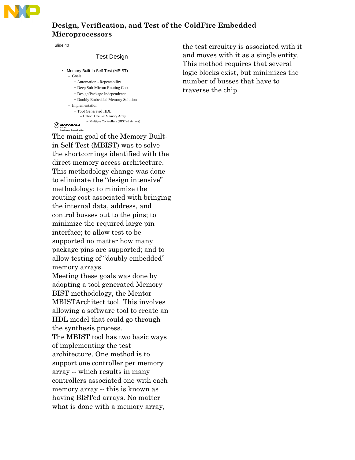

Slide 40

#### Test Design

- Memory Built-In Self-Test (MBIST) – Goals
	- Automation Repeatability
	- Deep Sub-Micron Routing Cost
	- Design/Package Independence
	- Doubly Embedded Memory Solution
	- Implementation
		- Tool Generated HDL
			- Option: One Per Memory Array – Multiple Controllers (BISTed Arrays)

### **CACTG Imaging and Storage Division**

The main goal of the Memory Builtin Self-Test (MBIST) was to solve the shortcomings identified with the direct memory access architecture. This methodology change was done to eliminate the "design intensive" methodology; to minimize the routing cost associated with bringing the internal data, address, and control busses out to the pins; to minimize the required large pin interface; to allow test to be supported no matter how many package pins are supported; and to allow testing of "doubly embedded" memory arrays. Meeting these goals was done by adopting a tool generated Memory BIST methodology, the Mentor MBISTArchitect tool. This involves allowing a software tool to create an HDL model that could go through the synthesis process. The MBIST tool has two basic ways of implementing the test architecture. One method is to support one controller per memory array -- which results in many controllers associated one with each memory array -- this is known as

having BISTed arrays. No matter what is done with a memory array, the test circuitry is associated with it and moves with it as a single entity. This method requires that several logic blocks exist, but minimizes the number of busses that have to traverse the chip.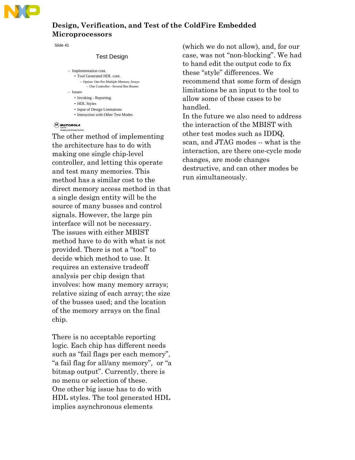

Slide 41

#### Test Design

- Implementation cont. • Tool Generated HDL cont. – Option: One Per Multiple Memory Arrays – One Controller - Several Bus Routes
- Issues
	- Invoking Reporting
	- HDL Styles
	- Input of Design Limitations • Interaction with Other Test Modes

#### **CA** MOTOROLA **Imaging and Storage Division**

The other method of implementing the architecture has to do with making one single chip-level controller, and letting this operate and test many memories. This method has a similar cost to the direct memory access method in that a single design entity will be the source of many busses and control signals. However, the large pin interface will not be necessary. The issues with either MBIST method have to do with what is not provided. There is not a "tool" to decide which method to use. It requires an extensive tradeoff analysis per chip design that involves: how many memory arrays; relative sizing of each array; the size of the busses used; and the location of the memory arrays on the final chip.

There is no acceptable reporting logic. Each chip has different needs such as "fail flags per each memory", "a fail flag for all/any memory", or "a bitmap output". Currently, there is no menu or selection of these. One other big issue has to do with HDL styles. The tool generated HDL implies asynchronous elements

(which we do not allow), and, for our case, was not "non-blocking". We had to hand edit the output code to fix these "style" differences. We recommend that some form of design limitations be an input to the tool to allow some of these cases to be handled.

In the future we also need to address the interaction of the MBIST with other test modes such as IDDQ, scan, and JTAG modes -- what is the interaction, are there one-cycle mode changes, are mode changes destructive, and can other modes be run simultaneously.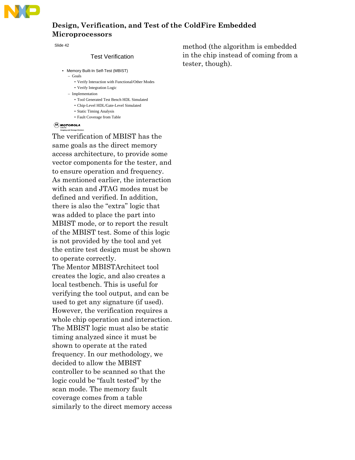

Slide 42

#### Test Verification

- Memory Built-In Self-Test (MBIST)
	- Goals
		- Verify Interaction with Functional/Other Modes
		- Verify Integration Logic
	- Implementation
		- Tool Generated Test Bench HDL Simulated
		- Chip-Level HDL/Gate-Level Simulated
		- Static Timing Analysis • Fault Coverage from Table
- **CA** MOTOROLA **Imaging and Storage Division**

The verification of MBIST has the same goals as the direct memory access architecture, to provide some vector components for the tester, and to ensure operation and frequency. As mentioned earlier, the interaction with scan and JTAG modes must be defined and verified. In addition, there is also the "extra" logic that was added to place the part into MBIST mode, or to report the result of the MBIST test. Some of this logic is not provided by the tool and yet the entire test design must be shown to operate correctly.

The Mentor MBISTArchitect tool creates the logic, and also creates a local testbench. This is useful for verifying the tool output, and can be used to get any signature (if used). However, the verification requires a whole chip operation and interaction. The MBIST logic must also be static timing analyzed since it must be shown to operate at the rated frequency. In our methodology, we decided to allow the MBIST controller to be scanned so that the logic could be "fault tested" by the scan mode. The memory fault coverage comes from a table similarly to the direct memory access

method (the algorithm is embedded in the chip instead of coming from a tester, though).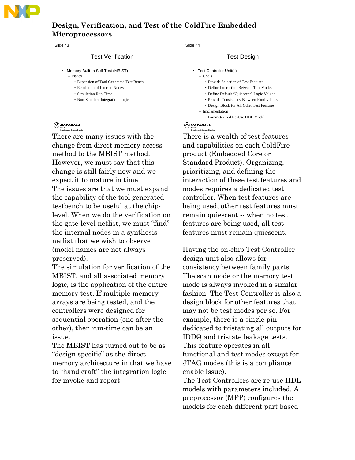

Slide 43

#### Test Verification

- Memory Built-In Self-Test (MBIST) – Issues
	- Expansion of Tool Generated Test Bench
	- Resolution of Internal Nodes
	- Simulation Run-Time
	- Non-Standard Integration Logic

#### **CA** MOTOROLA **I**<br>Page and Storag

There are many issues with the change from direct memory access method to the MBIST method. However, we must say that this change is still fairly new and we expect it to mature in time. The issues are that we must expand the capability of the tool generated testbench to be useful at the chiplevel. When we do the verification on the gate-level netlist, we must "find" the internal nodes in a synthesis netlist that we wish to observe (model names are not always preserved).

The simulation for verification of the MBIST, and all associated memory logic, is the application of the entire memory test. If multiple memory arrays are being tested, and the controllers were designed for sequential operation (one after the other), then run-time can be an issue.

The MBIST has turned out to be as "design specific" as the direct memory architecture in that we have to "hand craft" the integration logic for invoke and report.

Slide 44

#### Test Design

- Test Controller Unit(s)
	- Goals
		- Provide Selection of Test Features
		- Define Interaction Between Test Modes
		- Define Default "Quiescent" Logic Values
		- Provide Consistency Between Family Parts
		- Design Block for All Other Test Features
	- Implementation
		- Parameterized Re-Use HDL Model

#### **CA** MOTOROLA **Imaging and Storage Division**

There is a wealth of test features and capabilities on each ColdFire product (Embedded Core or Standard Product). Organizing, prioritizing, and defining the interaction of these test features and modes requires a dedicated test controller. When test features are being used, other test features must remain quiescent -- when no test features are being used, all test features must remain quiescent.

Having the on-chip Test Controller design unit also allows for consistency between family parts. The scan mode or the memory test mode is always invoked in a similar fashion. The Test Controller is also a design block for other features that may not be test modes per se. For example, there is a single pin dedicated to tristating all outputs for IDDQ and tristate leakage tests. This feature operates in all functional and test modes except for JTAG modes (this is a compliance enable issue).

The Test Controllers are re-use HDL models with parameters included. A preprocessor (MPP) configures the models for each different part based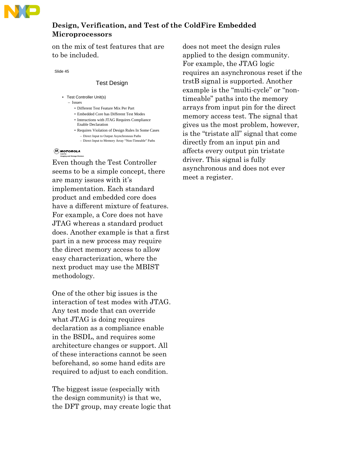

on the mix of test features that are to be included.

Slide 45

#### Test Design

- Test Controller Unit(s) – Issues
	- Different Test Feature Mix Per Part
	- Embedded Core has Different Test Modes
	- Interactions with JTAG Requires Compliance Enable Declaration
	- Requires Violation of Design Rules In Some Cases – Direct Input to Output Asynchronous Paths
		- Direct Input to Memory Array "Non-Timeable" Paths

### **CACTG Imaging and Storage Division**

Even though the Test Controller seems to be a simple concept, there are many issues with it's implementation. Each standard product and embedded core does have a different mixture of features. For example, a Core does not have JTAG whereas a standard product does. Another example is that a first part in a new process may require the direct memory access to allow easy characterization, where the next product may use the MBIST methodology.

One of the other big issues is the interaction of test modes with JTAG. Any test mode that can override what JTAG is doing requires declaration as a compliance enable in the BSDL, and requires some architecture changes or support. All of these interactions cannot be seen beforehand, so some hand edits are required to adjust to each condition.

The biggest issue (especially with the design community) is that we, the DFT group, may create logic that does not meet the design rules applied to the design community. For example, the JTAG logic requires an asynchronous reset if the trstB signal is supported. Another example is the "multi-cycle" or "nontimeable" paths into the memory arrays from input pin for the direct memory access test. The signal that gives us the most problem, however, is the "tristate all" signal that come directly from an input pin and affects every output pin tristate driver. This signal is fully asynchronous and does not ever meet a register.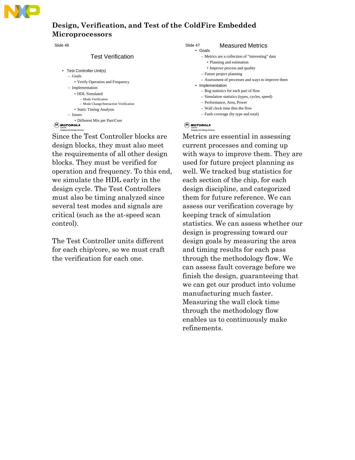

Slide 46

**Imaging and Storage Division**

### Test Verification

| Test Controller Unit(s)                |
|----------------------------------------|
| $-$ Goals                              |
| • Verify Operation and Frequency       |
| - Implementation                       |
| • HDL Simulated                        |
| - Mode Verification                    |
| - Mode Change/Interaction Verification |
| • Static Timing Analysis               |
| $-$ Issues                             |
| • Different Mix per Part/Core          |
| oeola<br>CACTG                         |

Since the Test Controller blocks are design blocks, they must also meet the requirements of all other design blocks. They must be verified for operation and frequency. To this end, we simulate the HDL early in the design cycle. The Test Controllers must also be timing analyzed since several test modes and signals are critical (such as the at-speed scan control).

The Test Controller units different for each chip/core, so we must craft the verification for each one.

#### Slide 47 Measured Metrics • Goals

- Metrics are a collection of "interesting" data
- Planning and estimation
	- Improve process and quality
- Future project planning
- Assessment of processes and ways to improve them
- Implementation
	- Bug statistics for each part of flow
	- Simulation statistics (types, cycles, speed)
	- Performance, Area, Power
	- Wall clock time thru the flow
	- Fault coverage (by type and total)

### **CACTG Imaging and Storage Division**

Metrics are essential in assessing current processes and coming up with ways to improve them. They are used for future project planning as well. We tracked bug statistics for each section of the chip, for each design discipline, and categorized them for future reference. We can assess our verification coverage by keeping track of simulation statistics. We can assess whether our design is progressing toward our design goals by measuring the area and timing results for each pass through the methodology flow. We can assess fault coverage before we finish the design, guaranteeing that we can get our product into volume manufacturing much faster. Measuring the wall clock time through the methodology flow enables us to continuously make refinements.